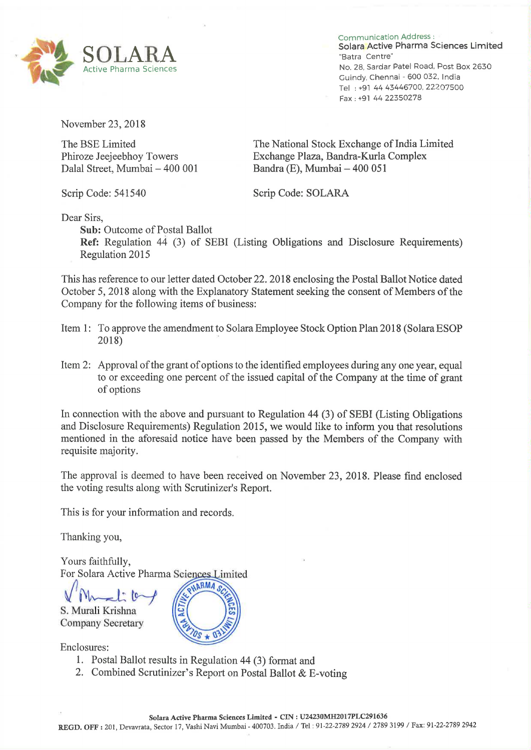

Communication Address: Solara Active Pharma Sciences Limited Active Pharma Sciences and Active Pharma Sciences No. 28, Sardar Patel Road, Post Box 2630 Guindy, Chennai — 600 032. India Tel : +91 44 43446700, 22207500 Fax : +91 44 22350278

November 23, 2018

Dalal Street, Mumbai —

The BSE Limited<br>
The National Stock Exchange of India Limited<br>
Phiroze Jeejeebhoy Towers<br>
Exchange Plaza, Bandra-Kurla Complex Exchange Plaza, Bandra-Kurla Complex 400 001 Bandra (E), Mumbai — 400 051

Scrip Code: 541540 Scrip Code: SOLARA

Dear Sirs,

Sub: Outcome of Postal Ballot

Ref: Regulation <sup>44</sup> (3) of SEBI (Listing Obligations and Disclosure Requirements) Regulation 2015

This has reference to our letter dated October 22. 2018 enclosing the Postal Ballot Notice dated October 5, 2018 along with the Explanatory Statement seeking the consent of Members of the Company for the following items of business:

- Item 1: To approve the amendment to Solara Employee Stock Option Plan 2018 (Solara ESOP 2018)
- Item 2: Approval of the grant of options to the identified employees during any one year, equal to or exceeding one percent of the issued capital of the Company at the time of grant of options

In connection with the above and pursuant to Regulation <sup>44</sup> (3) of SEBI (Listing Obligations and Disclosure Requirements) Regulation 2015, we would like to inform you that resolutions mentioned in the aforesaid notice have been passed by the Members of the Company with requisite majority.

The approval is deemed to have been received on November 23, 2018. Please find enclosed the voting results along with Scrutinizer's Report.

This is for your information and records.

Thanking you,

Yours faithfully, For Solara Active Pharma Sciences Limited

S. Murali Krishna Company Secretary

Enclosures:

- 1. Postal Ballot results in Regulation <sup>44</sup> (3) format and
- 2. Combined Scrutinizer's Report on Postal Ballot & E-voting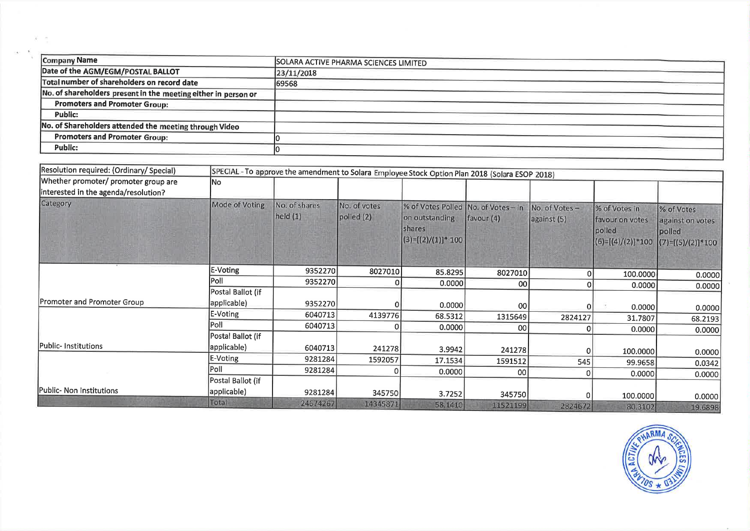| Company Name                                                   | SOLARA ACTIVE PHARMA SCIENCES LIMITED |
|----------------------------------------------------------------|---------------------------------------|
| Date of the AGM/EGM/POSTAL BALLOT                              | 23/11/2018                            |
| Total number of shareholders on record date                    | 69568                                 |
| No. of shareholders present in the meeting either in person or |                                       |
| <b>Promoters and Promoter Group:</b>                           |                                       |
| <b>Public:</b>                                                 |                                       |
| No. of Shareholders attended the meeting through Video         |                                       |
| <b>Promoters and Promoter Group:</b>                           |                                       |
| <b>Public:</b>                                                 |                                       |

 $\mathcal{X}=\frac{1}{2}$ 

H.

| Resolution required: (Ordinary/ Special) | SPECIAL - To approve the amendment to Solara Employee Stock Option Plan 2018 (Solara ESOP 2018) |                             |                            |                                                                                          |                 |                              |                                                                   |                                                                 |
|------------------------------------------|-------------------------------------------------------------------------------------------------|-----------------------------|----------------------------|------------------------------------------------------------------------------------------|-----------------|------------------------------|-------------------------------------------------------------------|-----------------------------------------------------------------|
| Whether promoter/ promoter group are     | <b>No</b>                                                                                       |                             |                            |                                                                                          |                 |                              |                                                                   |                                                                 |
| interested in the agenda/resolution?     |                                                                                                 |                             |                            |                                                                                          |                 |                              |                                                                   |                                                                 |
| Category                                 | Mode of Voting                                                                                  | No. of shares<br>held $(1)$ | No. of votes<br>polled (2) | % of Votes Polled   No. of Votes - in<br>on outstanding<br>shares<br>$(3)=[(2)/(1)]*100$ | favour (4)      | No. of Votes-<br>against (5) | % of Votes in<br>favour on votes<br>polled<br>$(6)=[(4)/(2)]*100$ | % of Votes<br>against on votes<br>polled<br>$(7)=[(5)/(2)]*100$ |
|                                          | E-Voting                                                                                        | 9352270                     | 8027010                    | 85.8295                                                                                  | 8027010         |                              | 100.0000                                                          | 0.0000                                                          |
|                                          | Poll                                                                                            | 9352270                     |                            | 0.0000                                                                                   | 00              |                              | 0.0000                                                            | 0.0000                                                          |
|                                          | Postal Ballot (if                                                                               |                             |                            |                                                                                          |                 |                              |                                                                   |                                                                 |
| Promoter and Promoter Group              | applicable)                                                                                     | 9352270                     |                            | 0.0000                                                                                   | <b>00</b>       |                              | 0.0000                                                            | 0.0000                                                          |
|                                          | E-Voting                                                                                        | 6040713                     | 4139776                    | 68.5312                                                                                  | 1315649         | 2824127                      | 31.7807                                                           | 68.2193                                                         |
|                                          | <b>Poll</b>                                                                                     | 6040713                     |                            | 0.0000                                                                                   | 00 <sup>1</sup> |                              | 0.0000                                                            | 0.0000                                                          |
|                                          | Postal Ballot (if                                                                               |                             |                            |                                                                                          |                 |                              |                                                                   |                                                                 |
| Public-Institutions                      | applicable)                                                                                     | 6040713                     | 241278                     | 3.9942                                                                                   | 241278          |                              | 100.0000                                                          | 0.0000                                                          |
|                                          | E-Voting                                                                                        | 9281284                     | 1592057                    | 17.1534                                                                                  | 1591512         | 545                          | 99.9658                                                           | 0.0342                                                          |
|                                          | Poll                                                                                            | 9281284                     |                            | 0.0000                                                                                   | 00              |                              | 0.0000                                                            | 0.0000                                                          |
|                                          | Postal Ballot (if                                                                               |                             |                            |                                                                                          |                 |                              |                                                                   |                                                                 |
| Public- Non Institutions                 | applicable)                                                                                     | 9281284                     | 345750                     | 3.7252                                                                                   | 345750          |                              | 100.0000                                                          | 0.0000                                                          |
|                                          | Total                                                                                           | 24674267                    | 14345871                   | 58.1410                                                                                  | 11521199        | 2824672                      | 80.3102                                                           | 19.6898                                                         |

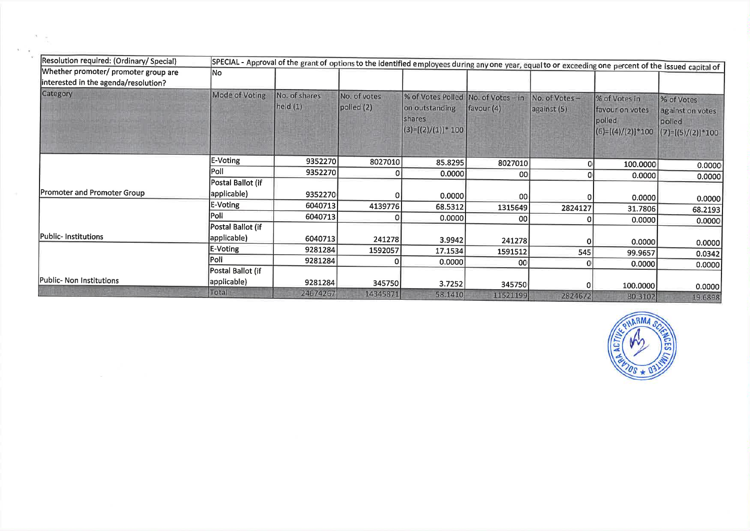| [Resolution required: (Ordinary/ Special)                                    |                   | SPECIAL - Approval of the grant of options to the identified employees during any one year, equal to or exceeding one percent of the issued capital of |                            |                                                                                          |                 |                              |                                                                   |                                                                 |
|------------------------------------------------------------------------------|-------------------|--------------------------------------------------------------------------------------------------------------------------------------------------------|----------------------------|------------------------------------------------------------------------------------------|-----------------|------------------------------|-------------------------------------------------------------------|-----------------------------------------------------------------|
| Whether promoter/ promoter group are<br>interested in the agenda/resolution? | No                |                                                                                                                                                        |                            |                                                                                          |                 |                              |                                                                   |                                                                 |
| Category                                                                     | Mode of Voting    | No. of shares<br>held(1)                                                                                                                               | No. of votes<br>polled (2) | % of Votes Polled No. of Votes - in<br>on outstanding<br>shares<br>$(3)=[(2)/(1)]$ * 100 | favour(4)       | No. of Votes-<br>against (5) | % of Votes in<br>favour on votes<br>polled<br>$(6)=[(4)/(2)]*100$ | % of Votes<br>against on votes<br>polled<br>$(7)=[(5)/(2)]*100$ |
|                                                                              | E-Voting          | 9352270                                                                                                                                                | 8027010                    | 85.8295                                                                                  | 8027010         |                              | 100.0000                                                          | 0.0000                                                          |
|                                                                              | Poll              | 9352270                                                                                                                                                |                            | 0.0000                                                                                   | 00l             |                              | 0.0000                                                            | 0.0000                                                          |
|                                                                              | Postal Ballot (if |                                                                                                                                                        |                            |                                                                                          |                 |                              |                                                                   |                                                                 |
| Promoter and Promoter Group                                                  | applicable)       | 9352270                                                                                                                                                |                            | 0.0000                                                                                   | 00l             |                              | 0.0000                                                            | 0.0000                                                          |
|                                                                              | E-Voting          | 6040713                                                                                                                                                | 4139776                    | 68.5312                                                                                  | 1315649         | 2824127                      | 31.7806                                                           | 68.2193                                                         |
|                                                                              | Poll              | 6040713                                                                                                                                                |                            | 0.0000                                                                                   | 00 <sub>l</sub> |                              | 0.0000                                                            | 0.0000                                                          |
|                                                                              | Postal Ballot (if |                                                                                                                                                        |                            |                                                                                          |                 |                              |                                                                   |                                                                 |
| Public-Institutions                                                          | applicable)       | 6040713                                                                                                                                                | 241278                     | 3.9942                                                                                   | 241278          |                              | 0.0000                                                            | 0.0000                                                          |
|                                                                              | <b>E-Voting</b>   | 9281284                                                                                                                                                | 1592057                    | 17.1534                                                                                  | 1591512         | 545                          | 99.9657                                                           | 0.0342                                                          |
|                                                                              | Poll              | 9281284                                                                                                                                                |                            | 0.0000                                                                                   | 00              |                              | 0.0000                                                            | 0.0000                                                          |
|                                                                              | Postal Ballot (if |                                                                                                                                                        |                            |                                                                                          |                 |                              |                                                                   |                                                                 |
| Public- Non Institutions                                                     | applicable)       | 9281284                                                                                                                                                | 345750                     | 3.7252                                                                                   | 345750          |                              | 100.0000                                                          | 0.0000                                                          |
|                                                                              | Total             | 24674267                                                                                                                                               | 14345871                   | 58.1410                                                                                  | 11521199        | 2824672                      | 80.3102                                                           | 19.6898                                                         |

 $\mathcal{N}$ 

 $\sim$ 

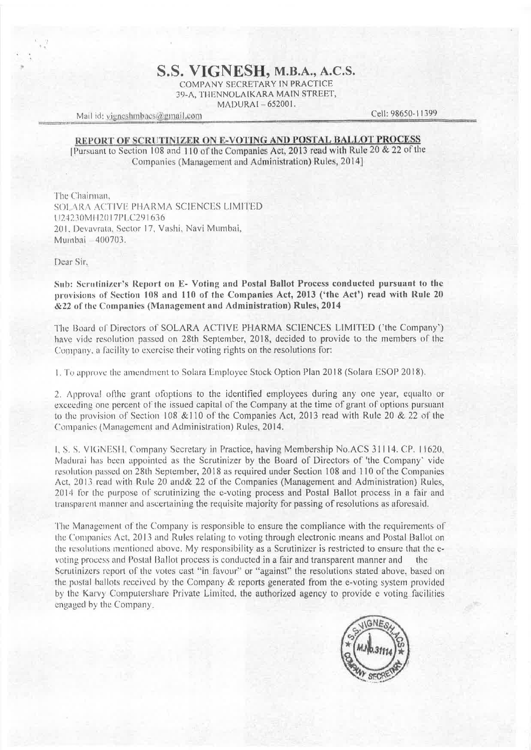## S.S. VIGNESH, M.B.A., A.C.S.

COMPANY SECRETARY IN PRACTICE 39-A. THENNOLAIKARA MAIN STREET, MADURAI-652001.

Mail id: vigneshmbacs@gmail.com

Cell: 98650-11399

## REPORT OF SCRUTINIZER ON E-VOTING AND POSTAL BALLOT PROCESS

[Pursuant to Section 108 and 110 of the Companies Act, 2013 read with Rule 20 & 22 of the Companies (Management and Administration) Rules, 2014]

The Chairman. SOLARA ACTIVE PHARMA SCIENCES LIMITED U24230MH2017PLC291636 201. Devavrata, Sector 17, Vashi, Navi Mumbai, Mumbai - 400703.

Dear Sir.

Sub: Scrutinizer's Report on E- Voting and Postal Ballot Process conducted pursuant to the provisions of Section 108 and 110 of the Companies Act, 2013 ('the Act') read with Rule 20 &22 of the Companies (Management and Administration) Rules, 2014

The Board of Directors of SOLARA ACTIVE PHARMA SCIENCES LIMITED ('the Company') have vide resolution passed on 28th September, 2018, decided to provide to the members of the Company, a facility to exercise their voting rights on the resolutions for:

1. To approve the amendment to Solara Employee Stock Option Plan 2018 (Solara ESOP 2018).

2. Approval of the grant of options to the identified employees during any one year, equal to or exceeding one percent of the issued capital of the Company at the time of grant of options pursuant to the provision of Section 108 & 110 of the Companies Act, 2013 read with Rule 20 & 22 of the Companies (Management and Administration) Rules, 2014.

1, S. S. VIGNESH, Company Secretary in Practice, having Membership No.ACS 31114. CP. 11620, Madurai has been appointed as the Scrutinizer by the Board of Directors of 'the Company' vide resolution passed on 28th September, 2018 as required under Section 108 and 110 of the Companies Act, 2013 read with Rule 20 and & 22 of the Companies (Management and Administration) Rules, 2014 for the purpose of scrutinizing the e-voting process and Postal Ballot process in a fair and transparent manner and ascertaining the requisite majority for passing of resolutions as aforesaid.

The Management of the Company is responsible to ensure the compliance with the requirements of the Companies Act, 2013 and Rules relating to voting through electronic means and Postal Ballot on the resolutions mentioned above. My responsibility as a Scrutinizer is restricted to ensure that the evoting process and Postal Ballot process is conducted in a fair and transparent manner and the Scrutinizers report of the votes cast "in favour" or "against" the resolutions stated above, based on the postal ballots received by the Company & reports generated from the e-voting system provided by the Karvy Computershare Private Limited, the authorized agency to provide e voting facilities engaged by the Company.

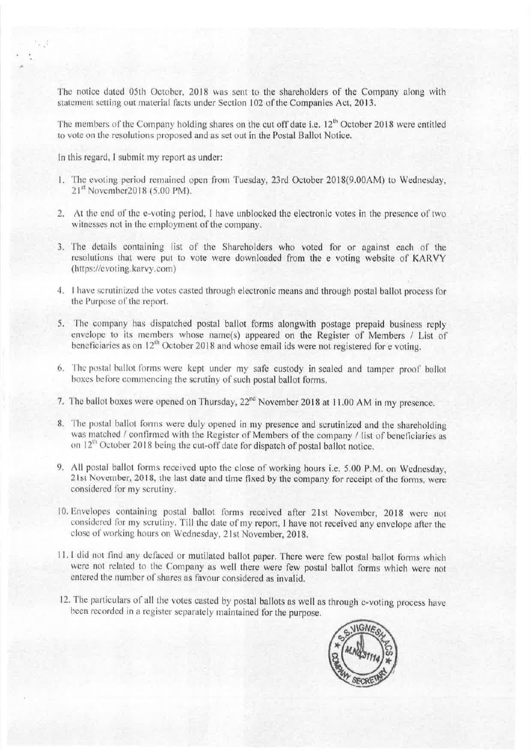The notice dated 05th October, 2018 was sent to the shareholders of the Company along with statement setting out material facts under Section 102 of the Companies Act, 2013.

The members of the Company holding shares on the cut off date i.e. 12<sup>th</sup> October 2018 were entitled to vote on the resolutions proposed and as set out in the Postal Ballot Notice.

In this regard, I submit my report as under:

- 1. The evoting period remained open from Tuesday, 23rd October 2018(9.00AM) to Wednesday, 21st November2018 (5.00 PM).
- 2. At the end of the e-voting period, I have unblocked the electronic votes in the presence of two witnesses not in the employment of the company.
- 3. The details containing list of the Shareholders who voted for or against each of the resolutions that were put to vote were downloaded from the e voting website of KARVY (https://evoting.karvy.com)
- 4. I have scrutinized the votes casted through electronic means and through postal ballot process for the Purpose of the report.
- 5. The company has dispatched postal ballot forms alongwith postage prepaid business reply envelope to its members whose name(s) appeared on the Register of Members / List of beneficiaries as on 12<sup>th</sup> October 2018 and whose email ids were not registered for e voting.
- 6. The postal ballot forms were kept under my safe custody in sealed and tamper proof ballot boxes before commencing the scrutiny of such postal ballot forms.
- 7. The ballot boxes were opened on Thursday, 22<sup>nd</sup> November 2018 at 11.00 AM in my presence.
- 8. The postal ballot forms were duly opened in my presence and scrutinized and the shareholding was matched / confirmed with the Register of Members of the company / list of beneficiaries as on 12<sup>th</sup> October 2018 being the cut-off date for dispatch of postal ballot notice.
- 9. All postal ballot forms received upto the close of working hours i.e. 5.00 P.M. on Wednesday, 21st November, 2018, the last date and time fixed by the company for receipt of the forms, were considered for my scrutiny.
- 10. Envelopes containing postal ballot forms received after 21st November, 2018 were not considered for my scrutiny. Till the date of my report, I have not received any envelope after the close of working hours on Wednesday, 21st November, 2018.
- 11.1 did not find any defaced or mutilated ballot paper. There were few postal ballot forms which were not related to the Company as well there were few postal ballot forms which were not entered the number of shares as favour considered as invalid.
- 12. The particulars of all the votes casted by postal ballots as well as through e-voting process have been recorded in a register separately maintained for the purpose.

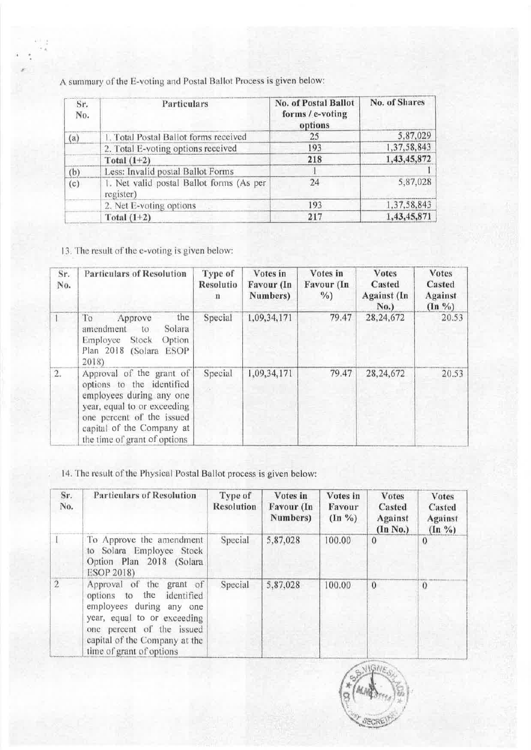A summary of the E-voting and Postal Ballot Process is given below:

| Sr.<br>No. | Particulars                                           | No. of Postal Ballot<br>forms / e-voting<br>options | No. of Shares |
|------------|-------------------------------------------------------|-----------------------------------------------------|---------------|
| (a)        | 1. Total Postal Ballot forms received                 | 25                                                  | 5,87,029      |
|            | 2. Total E-voting options received                    | 193                                                 | 1,37,58,843   |
|            | Total $(1+2)$                                         | 218                                                 | 1,43,45,872   |
| (b)        | Less: Invalid postal Ballot Forms                     |                                                     |               |
| (c)        | 1. Net valid postal Ballot forms (As per<br>register) | 24                                                  | 5,87,028      |
|            | 2. Net E-voting options                               | 193                                                 | 1,37,58,843   |
|            | Total $(1+2)$                                         | 217                                                 | 1,43,45,871   |

13. The result of the e-voting is given below:

| Sr.<br>No. | <b>Particulars of Resolution</b>                                                                                                                                                                           | Type of<br>Resolutio<br>n | Votes in<br>Favour (In<br>Numbers) | Votes in<br>Favour (In<br>$\frac{0}{a}$ ) | <b>Votes</b><br>Casted<br>Against (In<br>No.) | <b>Votes</b><br>Casted<br><b>Against</b><br>$(\ln \frac{9}{6})$ |
|------------|------------------------------------------------------------------------------------------------------------------------------------------------------------------------------------------------------------|---------------------------|------------------------------------|-------------------------------------------|-----------------------------------------------|-----------------------------------------------------------------|
|            | To<br>the<br>Approve<br>amendment<br>Solara<br>$\tau$<br>Stock<br>Option<br>Employee<br>Plan 2018 (Solara ESOP<br>$2018$ )                                                                                 | Special                   | 1,09,34,171                        | 79.47                                     | 28,24,672                                     | 20.53                                                           |
| 2.         | Approval of the grant of<br>options to the identified<br>employees during any one<br>year, equal to or exceeding<br>one percent of the issued<br>capital of the Company at<br>the time of grant of options | Special                   | 1,09,34,171                        | 79.47                                     | 28, 24, 672                                   | 20.53                                                           |

14. The result of the Physical Postal Ballot process is given below:

| Sr.<br>No.     | <b>Particulars of Resolution</b>                                                                                                                                                                              | Type of<br><b>Resolution</b> | Votes in<br>Favour (In<br>Numbers) | Votes in<br>Favour<br>$(\ln \frac{9}{6})$ | <b>Votes</b><br>Casted<br><b>Against</b><br>(In No.) | <b>Votes</b><br>Casted<br><b>Against</b><br>$(\ln \frac{9}{6})$ |
|----------------|---------------------------------------------------------------------------------------------------------------------------------------------------------------------------------------------------------------|------------------------------|------------------------------------|-------------------------------------------|------------------------------------------------------|-----------------------------------------------------------------|
|                | To Approve the amendment<br>to Solara Employee Stock<br>Option Plan 2018 (Solara<br>ESOP 2018)                                                                                                                | Special                      | 5,87,028                           | 100.00                                    | $\Omega$                                             | $\Omega$                                                        |
| $\overline{2}$ | Approval of the grant of<br>options to the<br>identified<br>employees during any one<br>year, equal to or exceeding<br>one percent of the issued<br>capital of the Company at the<br>time of grant of options | Special                      | 5,87,028                           | 100.00                                    | $\mathbf{0}$                                         | $\Omega$                                                        |